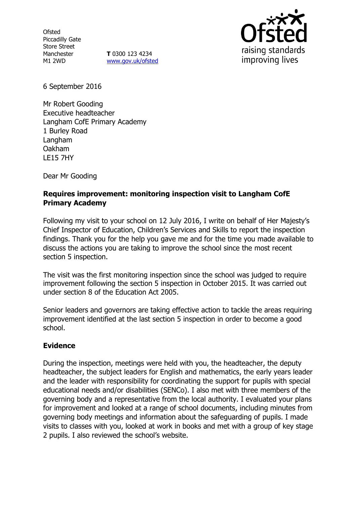**Ofsted** Piccadilly Gate Store Street Manchester M1 2WD

**T** 0300 123 4234 [www.gov.uk/ofsted](http://www.gov.uk/ofsted)



6 September 2016

Mr Robert Gooding Executive headteacher Langham CofE Primary Academy 1 Burley Road Langham Oakham LE15 7HY

Dear Mr Gooding

### **Requires improvement: monitoring inspection visit to Langham CofE Primary Academy**

Following my visit to your school on 12 July 2016, I write on behalf of Her Majesty's Chief Inspector of Education, Children's Services and Skills to report the inspection findings. Thank you for the help you gave me and for the time you made available to discuss the actions you are taking to improve the school since the most recent section 5 inspection.

The visit was the first monitoring inspection since the school was judged to require improvement following the section 5 inspection in October 2015. It was carried out under section 8 of the Education Act 2005.

Senior leaders and governors are taking effective action to tackle the areas requiring improvement identified at the last section 5 inspection in order to become a good school.

# **Evidence**

During the inspection, meetings were held with you, the headteacher, the deputy headteacher, the subject leaders for English and mathematics, the early years leader and the leader with responsibility for coordinating the support for pupils with special educational needs and/or disabilities (SENCo). I also met with three members of the governing body and a representative from the local authority. I evaluated your plans for improvement and looked at a range of school documents, including minutes from governing body meetings and information about the safeguarding of pupils. I made visits to classes with you, looked at work in books and met with a group of key stage 2 pupils. I also reviewed the school's website.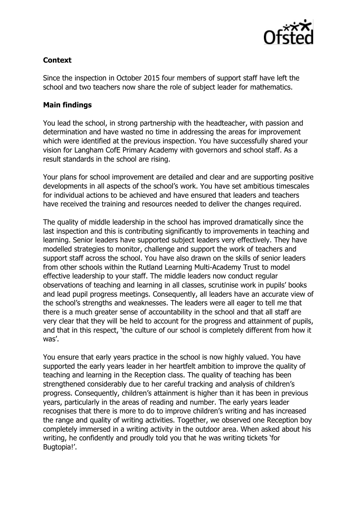

# **Context**

Since the inspection in October 2015 four members of support staff have left the school and two teachers now share the role of subject leader for mathematics.

# **Main findings**

You lead the school, in strong partnership with the headteacher, with passion and determination and have wasted no time in addressing the areas for improvement which were identified at the previous inspection. You have successfully shared your vision for Langham CofE Primary Academy with governors and school staff. As a result standards in the school are rising.

Your plans for school improvement are detailed and clear and are supporting positive developments in all aspects of the school's work. You have set ambitious timescales for individual actions to be achieved and have ensured that leaders and teachers have received the training and resources needed to deliver the changes required.

The quality of middle leadership in the school has improved dramatically since the last inspection and this is contributing significantly to improvements in teaching and learning. Senior leaders have supported subject leaders very effectively. They have modelled strategies to monitor, challenge and support the work of teachers and support staff across the school. You have also drawn on the skills of senior leaders from other schools within the Rutland Learning Multi-Academy Trust to model effective leadership to your staff. The middle leaders now conduct regular observations of teaching and learning in all classes, scrutinise work in pupils' books and lead pupil progress meetings. Consequently, all leaders have an accurate view of the school's strengths and weaknesses. The leaders were all eager to tell me that there is a much greater sense of accountability in the school and that all staff are very clear that they will be held to account for the progress and attainment of pupils, and that in this respect, 'the culture of our school is completely different from how it was'.

You ensure that early years practice in the school is now highly valued. You have supported the early years leader in her heartfelt ambition to improve the quality of teaching and learning in the Reception class. The quality of teaching has been strengthened considerably due to her careful tracking and analysis of children's progress. Consequently, children's attainment is higher than it has been in previous years, particularly in the areas of reading and number. The early years leader recognises that there is more to do to improve children's writing and has increased the range and quality of writing activities. Together, we observed one Reception boy completely immersed in a writing activity in the outdoor area. When asked about his writing, he confidently and proudly told you that he was writing tickets 'for Bugtopia!'.